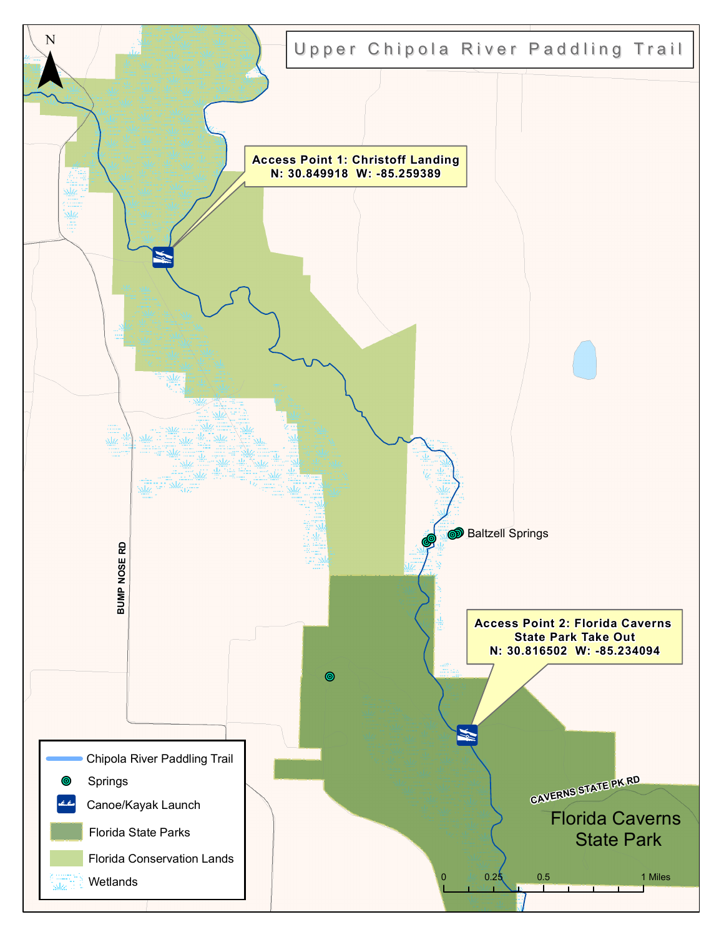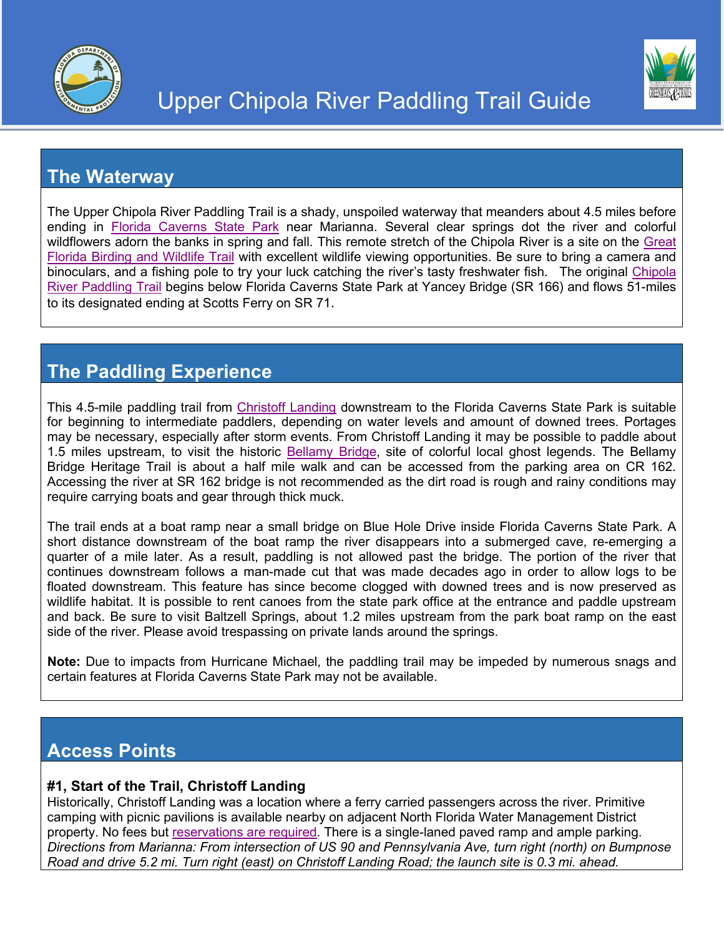

#### **The Waterway**

The Upper Chipola River Paddling Trail is a shady, unspoiled waterway that meanders about 4.5 miles before ending in [Florida Caverns State Park](https://www.floridastateparks.org/parks-and-trails/florida-caverns-state-park) near Marianna. Several clear springs dot the river and colorful wildflowers adorn the banks in spring and fall. This remote stretch of the Chipola River is a site on the [Great](https://floridabirdingtrail.com/)  [Florida Birding and Wildlife Trail](https://floridabirdingtrail.com/) with excellent wildlife viewing opportunities. Be sure to bring a camera and binoculars, and a fishing pole to try your luck catching the river's tasty freshwater fish. The original [Chipola](https://floridadep.gov/sites/default/files/Chipola_Guide_2.pdf)  [River Paddling Trail](https://floridadep.gov/sites/default/files/Chipola_Guide_2.pdf) begins below Florida Caverns State Park at Yancey Bridge (SR 166) and flows 51-miles to its designated ending at Scotts Ferry on SR 71.

# **The Paddling Experience**

This 4.5-mile paddling trail from [Christoff Landing](https://www.nwfwater.com/Lands/Recreation/Area/Chipola-River/Christoff-Landing) downstream to the Florida Caverns State Park is suitable for beginning to intermediate paddlers, depending on water levels and amount of downed trees. Portages may be necessary, especially after storm events. From Christoff Landing it may be possible to paddle about 1.5 miles upstream, to visit the historic [Bellamy Bridge,](http://visitjacksoncountyfla.com/heritage/bellamy-bridge) site of colorful local ghost legends. The Bellamy Bridge Heritage Trail is about a half mile walk and can be accessed from the parking area on CR 162. Accessing the river at SR 162 bridge is not recommended as the dirt road is rough and rainy conditions may require carrying boats and gear through thick muck.

The trail ends at a boat ramp near a small bridge on Blue Hole Drive inside Florida Caverns State Park. A short distance downstream of the boat ramp the river disappears into a submerged cave, re-emerging a quarter of a mile later. As a result, paddling is not allowed past the bridge. The portion of the river that continues downstream follows a man-made cut that was made decades ago in order to allow logs to be floated downstream. This feature has since become clogged with downed trees and is now preserved as wildlife habitat. It is possible to rent canoes from the state park office at the entrance and paddle upstream and back. Be sure to visit Baltzell Springs, about 1.2 miles upstream from the park boat ramp on the east side of the river. Please avoid trespassing on private lands around the springs.

**Note:** Due to impacts from Hurricane Michael, the paddling trail may be impeded by numerous snags and certain features at Florida Caverns State Park may not be available.

## **Access Points**

#### **#1, Start of the Trail, Christoff Landing**

Historically, Christoff Landing was a location where a ferry carried passengers across the river. Primitive camping with picnic pavilions is available nearby on adjacent North Florida Water Management District property. No fees but [reservations are](https://www.camplife.com/388/reservation/step1?ref=&flexible=1) required. There is a single-laned paved ramp and ample parking. *Directions from Marianna: From intersection of US 90 and Pennsylvania Ave, turn right (north) on Bumpnose Road and drive 5.2 mi. Turn right (east) on Christoff Landing Road; the launch site is 0.3 mi. ahead.*